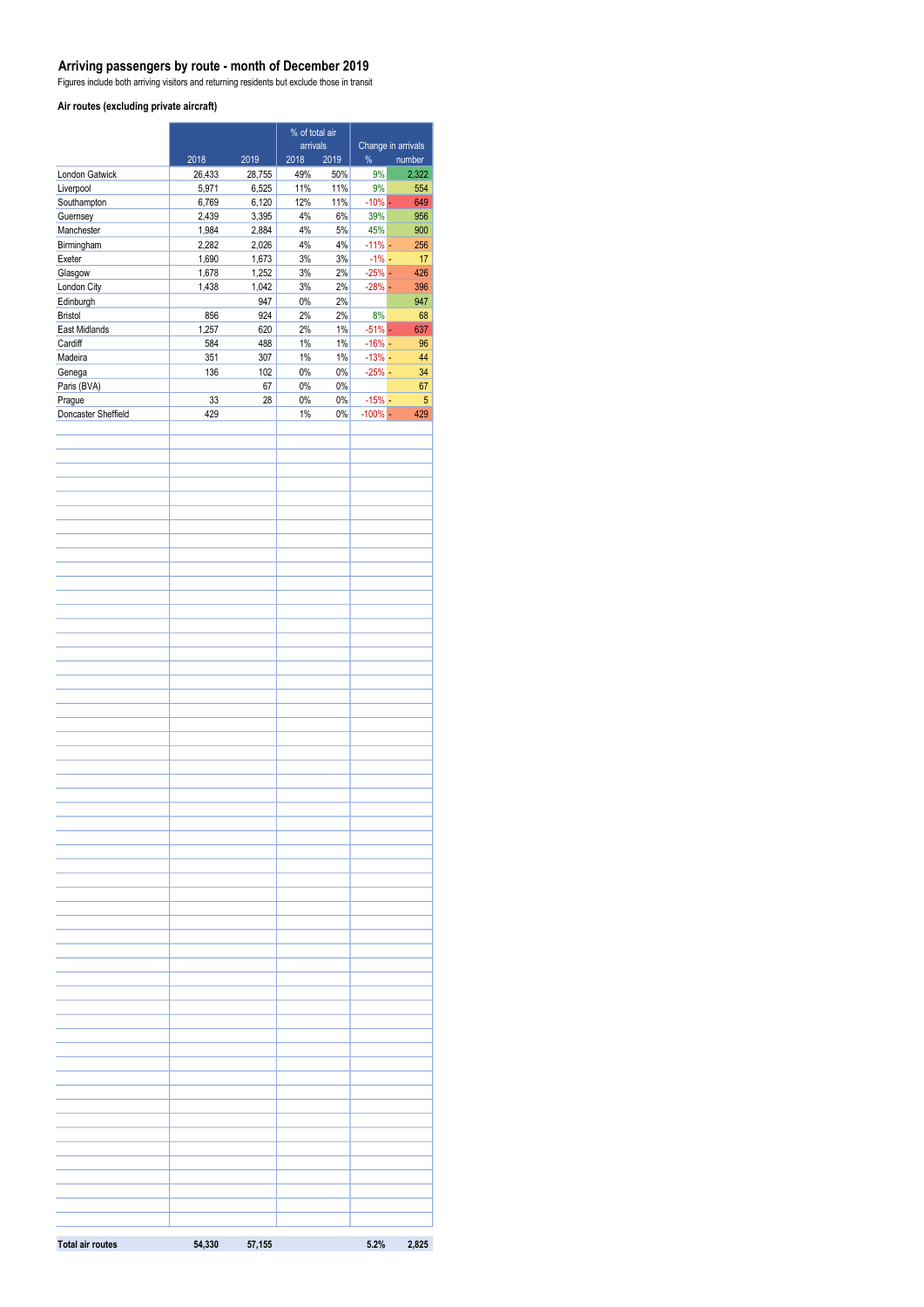#### **Arriving passengers by route - month of December 2019**

Figures include both arriving visitors and returning residents but exclude those in transit

#### **Air routes (excluding private aircraft)**

|                          | % of total air |                |                          |                |                                   |            |
|--------------------------|----------------|----------------|--------------------------|----------------|-----------------------------------|------------|
|                          | 2018           | 2019           | arrivals<br>2018<br>2019 |                | Change in arrivals<br>%<br>number |            |
| London Gatwick           | 26,433         | 28,755         | 49%                      | 50%            | 9%                                | 2,322      |
| Liverpool                | 5,971          | 6,525          | 11%                      | 11%            | 9%                                | 554        |
| Southampton              | 6,769          | 6,120          | 12%                      | 11%            | $-10%$ -                          | 649        |
| Guernsey                 | 2,439          | 3,395          | 4%                       | 6%             | 39%                               | 956        |
| Manchester<br>Birmingham | 1,984<br>2,282 | 2,884<br>2,026 | 4%<br>4%                 | $5\%$<br>4%    | 45%<br>$-11\%$ -                  | 900<br>256 |
| Exeter                   | 1,690          | 1,673          | $3\%$                    | $3\%$          | $-1\%$ -                          | 17         |
| Glasgow                  | 1,678          | 1,252          | $3\%$                    | $2\%$          | $-25%$ -                          | 426        |
| London City              | 1,438          | 1,042          | $3\%$                    | $2\%$          | $-28%$ -                          | 396        |
| Edinburgh                |                | 947            | $0\%$                    | $2\%$          |                                   | 947        |
| <b>Bristol</b>           | 856            | 924            | 2%                       | $2\%$          | 8%                                | 68         |
| East Midlands<br>Cardiff | 1,257<br>584   | 620<br>488     | 2%<br>$1\%$              | $1\%$<br>$1\%$ | $-51\%$ $-$<br>$-16% -$           | 637<br>96  |
| Madeira                  | 351            | 307            | $1\%$                    | $1\%$          | $-13%$ -                          | 44         |
| Genega                   | 136            | 102            | $0\%$                    | $0\%$          | $-25%$ -                          | 34         |
| Paris (BVA)              |                | 67             | $0\%$                    | $0\%$          |                                   | 67         |
| Prague                   | 33             | 28             | $0\%$                    | $0\%$          | $-15% -$                          | 5          |
| Doncaster Sheffield      | 429            |                | $1\%$                    | 0%             | $-100\%$ -                        | 429        |
|                          |                |                |                          |                |                                   |            |
|                          |                |                |                          |                |                                   |            |
|                          |                |                |                          |                |                                   |            |
|                          |                |                |                          |                |                                   |            |
|                          |                |                |                          |                |                                   |            |
|                          |                |                |                          |                |                                   |            |
|                          |                |                |                          |                |                                   |            |
|                          |                |                |                          |                |                                   |            |
|                          |                |                |                          |                |                                   |            |
|                          |                |                |                          |                |                                   |            |
|                          |                |                |                          |                |                                   |            |
|                          |                |                |                          |                |                                   |            |
|                          |                |                |                          |                |                                   |            |
|                          |                |                |                          |                |                                   |            |
|                          |                |                |                          |                |                                   |            |
|                          |                |                |                          |                |                                   |            |
|                          |                |                |                          |                |                                   |            |
|                          |                |                |                          |                |                                   |            |
|                          |                |                |                          |                |                                   |            |
|                          |                |                |                          |                |                                   |            |
|                          |                |                |                          |                |                                   |            |
|                          |                |                |                          |                |                                   |            |
|                          |                |                |                          |                |                                   |            |
|                          |                |                |                          |                |                                   |            |
|                          |                |                |                          |                |                                   |            |
|                          |                |                |                          |                |                                   |            |
|                          |                |                |                          |                |                                   |            |
|                          |                |                |                          |                |                                   |            |
|                          |                |                |                          |                |                                   |            |
|                          |                |                |                          |                |                                   |            |
|                          |                |                |                          |                |                                   |            |
|                          |                |                |                          |                |                                   |            |
|                          |                |                |                          |                |                                   |            |
|                          |                |                |                          |                |                                   |            |
|                          |                |                |                          |                |                                   |            |
|                          |                |                |                          |                |                                   |            |
|                          |                |                |                          |                |                                   |            |
|                          |                |                |                          |                |                                   |            |
|                          |                |                |                          |                |                                   |            |
|                          |                |                |                          |                |                                   |            |
|                          |                |                |                          |                |                                   |            |
|                          |                |                |                          |                |                                   |            |
|                          |                |                |                          |                |                                   |            |
|                          |                |                |                          |                |                                   |            |
|                          |                |                |                          |                |                                   |            |
|                          |                |                |                          |                |                                   |            |
|                          |                |                |                          |                |                                   |            |
|                          |                |                |                          |                |                                   |            |
|                          |                |                |                          |                |                                   |            |
|                          |                |                |                          |                |                                   |            |
| <b>Total air routes</b>  | 54,330         | 57,155         |                          |                | 5.2%                              | 2,825      |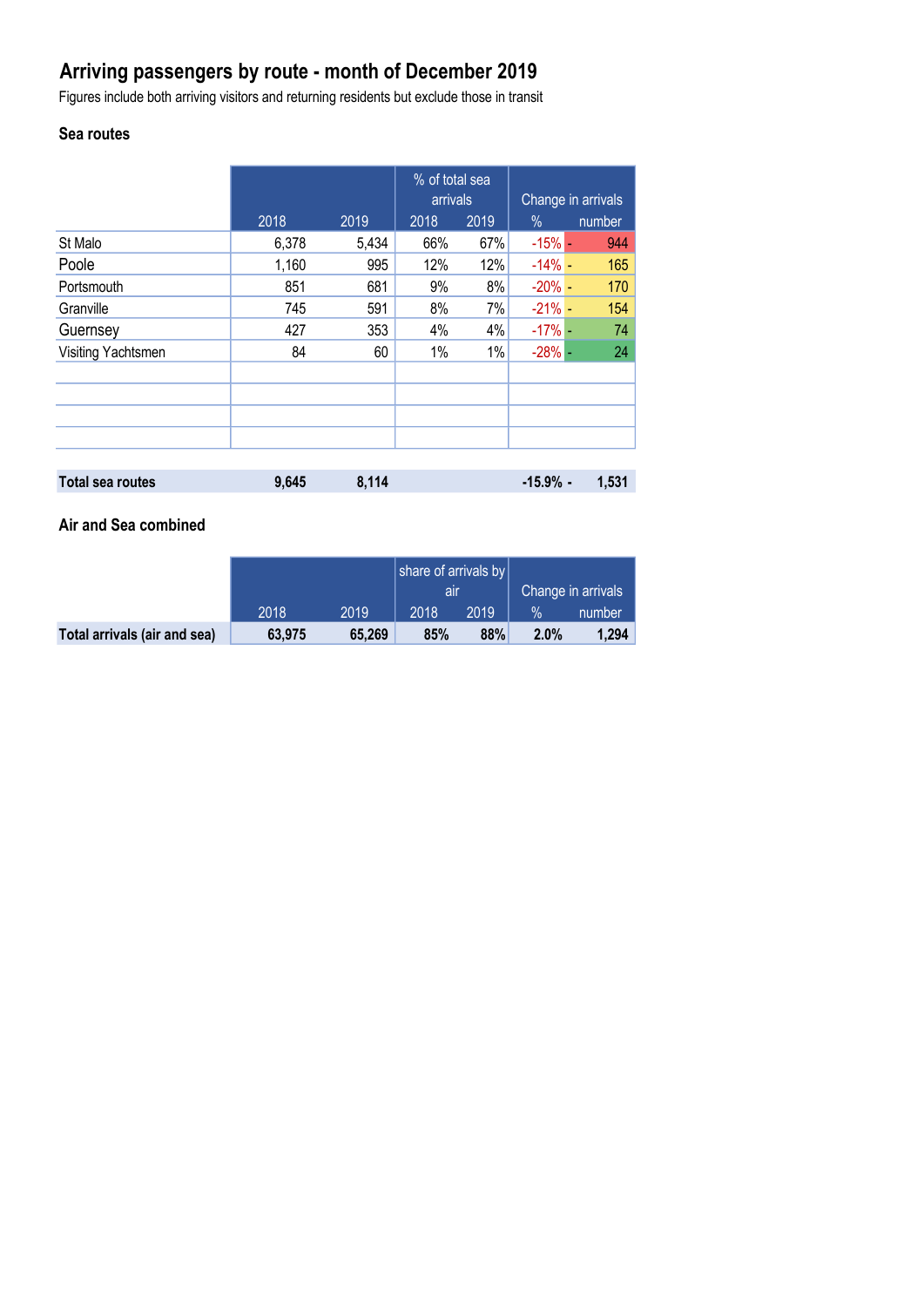# **Arriving passengers by route - month of December 2019**

Figures include both arriving visitors and returning residents but exclude those in transit

## **Sea routes**

|                         |       |       | % of total sea<br>arrivals |      | Change in arrivals |        |
|-------------------------|-------|-------|----------------------------|------|--------------------|--------|
|                         | 2018  | 2019  | 2018                       | 2019 | $\%$               | number |
| St Malo                 | 6,378 | 5,434 | 66%                        | 67%  | $-15%$ -           | 944    |
| Poole                   | 1,160 | 995   | 12%                        | 12%  | $-14\%$ -          | 165    |
| Portsmouth              | 851   | 681   | 9%                         | 8%   | $-20% -$           | 170    |
| Granville               | 745   | 591   | 8%                         | 7%   | $-21% -$           | 154    |
| Guernsey                | 427   | 353   | 4%                         | 4%   | $-17\%$ -          | 74     |
| Visiting Yachtsmen      | 84    | 60    | 1%                         | 1%   | $-28% -$           | 24     |
|                         |       |       |                            |      |                    |        |
|                         |       |       |                            |      |                    |        |
|                         |       |       |                            |      |                    |        |
|                         |       |       |                            |      |                    |        |
|                         |       |       |                            |      |                    |        |
| <b>Total sea routes</b> | 9,645 | 8,114 |                            |      | $-15.9%$ -         | 1,531  |

### **Air and Sea combined**

|                              |        |        | share of arrivals by |      |                    |        |
|------------------------------|--------|--------|----------------------|------|--------------------|--------|
|                              |        |        | all                  |      | Change in arrivals |        |
|                              | 2018   | 2019   | 2018                 | 2019 | $\%$               | number |
| Total arrivals (air and sea) | 63,975 | 65,269 | 85%                  | 88%  | 2.0%               | 1,294  |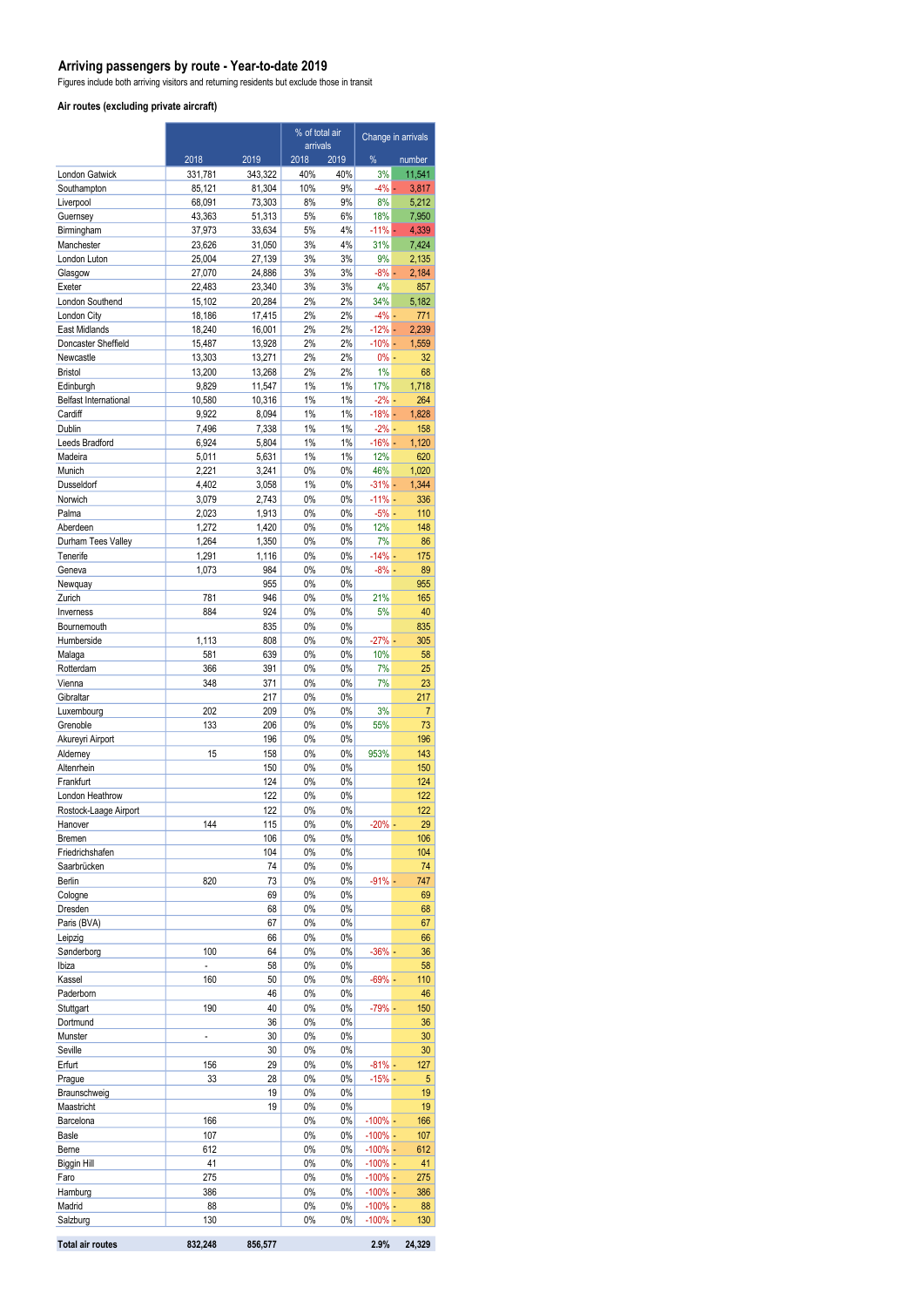#### **Arriving passengers by route - Year-to-date 2019**

Figures include both arriving visitors and returning residents but exclude those in transit

#### **Air routes (excluding private aircraft)**

|                             |                          |                  | % of total air<br>arrivals |             | Change in arrivals       |                |
|-----------------------------|--------------------------|------------------|----------------------------|-------------|--------------------------|----------------|
|                             | 2018                     | 2019             | 2018                       | 2019        | %                        | number         |
| London Gatwick              | 331,781                  | 343,322          | 40%                        | 40%         | 3%                       | 11,541         |
| Southampton                 | 85,121                   | 81,304           | 10%                        | 9%          | $-4%$ -                  | 3,817          |
| Liverpool                   | 68,091                   | 73,303           | 8%                         | 9%          | 8%                       | 5,212          |
| Guernsey                    | 43,363                   | 51,313           | 5%                         | 6%          | 18%                      | 7,950          |
| Birmingham                  | 37,973                   | 33,634           | 5%                         | 4%          | $-11%$ $-$               | 4,339          |
| Manchester<br>London Luton  | 23,626<br>25,004         | 31,050<br>27,139 | 3%<br>3%                   | 4%<br>3%    | 31%<br>9%                | 7,424<br>2,135 |
| Glasgow                     | 27,070                   | 24,886           | 3%                         | 3%          | $-8\%$ $-$               | 2,184          |
| Exeter                      | 22,483                   | 23,340           | 3%                         | 3%          | 4%                       | 857            |
| London Southend             | 15,102                   | 20,284           | 2%                         | 2%          | 34%                      | 5,182          |
| London City                 | 18,186                   | 17,415           | 2%                         | 2%          | $-4%$ -                  | 771            |
| East Midlands               | 18,240                   | 16,001           | 2%                         | 2%          | $-12% -$                 | 2,239          |
| Doncaster Sheffield         | 15,487                   | 13,928           | 2%                         | 2%          | $-10% -$                 | 1,559          |
| Newcastle                   | 13,303                   | 13,271           | 2%                         | 2%          | $0% -$                   | 32             |
| <b>Bristol</b><br>Edinburgh | 13,200<br>9,829          | 13,268<br>11,547 | 2%<br>1%                   | 2%<br>$1\%$ | 1%<br>17%                | 68<br>1,718    |
| Belfast International       | 10,580                   | 10,316           | 1%                         | $1\%$       | $-2%$ –                  | 264            |
| Cardiff                     | 9,922                    | 8,094            | 1%                         | $1\%$       | $-18% -$                 | 1,828          |
| Dublin                      | 7,496                    | 7,338            | 1%                         | $1\%$       | $-2\%$ -                 | 158            |
| Leeds Bradford              | 6,924                    | 5,804            | 1%                         | $1\%$       | $-16% -$                 | 1,120          |
| Madeira                     | 5,011                    | 5,631            | 1%                         | $1\%$       | 12%                      | 620            |
| Munich                      | 2,221                    | 3,241            | 0%                         | 0%          | 46%                      | 1,020          |
| Dusseldorf<br>Norwich       | 4,402                    | 3,058            | 1%                         | 0%          | $-31\%$ -                | 1,344          |
| Palma                       | 3,079<br>2,023           | 2,743<br>1,913   | 0%<br>0%                   | 0%<br>0%    | $-11% -$<br>$-5%$ $-$    | 336<br>110     |
| Aberdeen                    | 1,272                    | 1,420            | 0%                         | 0%          | 12%                      | 148            |
| Durham Tees Valley          | 1,264                    | 1,350            | 0%                         | 0%          | 7%                       | 86             |
| Tenerife                    | 1,291                    | 1,116            | 0%                         | 0%          | $-14%$ -                 | 175            |
| Geneva                      | 1,073                    | 984              | 0%                         | $0\%$       | $-8%$ -                  | 89             |
| Newquay                     |                          | 955              | 0%                         | 0%          |                          | 955            |
| Zurich                      | 781                      | 946              | 0%                         | 0%          | 21%                      | 165            |
| Inverness                   | 884                      | 924              | 0%                         | 0%          | 5%                       | 40             |
| Bournemouth<br>Humberside   | 1,113                    | 835<br>808       | 0%<br>$0\%$                | 0%<br>0%    | $-27%$ -                 | 835<br>305     |
| Malaga                      | 581                      | 639              | 0%                         | 0%          | 10%                      | 58             |
| Rotterdam                   | 366                      | 391              | 0%                         | 0%          | 7%                       | 25             |
| Vienna                      | 348                      | 371              | 0%                         | 0%          | 7%                       | 23             |
| Gibraltar                   |                          | 217              | 0%                         | 0%          |                          | 217            |
| Luxembourg                  | 202                      | 209              | 0%                         | 0%          | 3%                       | $\overline{7}$ |
| Grenoble                    | 133                      | 206              | 0%                         | 0%          | 55%                      | 73             |
| Akureyri Airport            | 15                       | 196              | 0%<br>0%                   | 0%<br>0%    | 953%                     | 196            |
| Alderney<br>Altenrhein      |                          | 158<br>150       | 0%                         | 0%          |                          | 143<br>150     |
| Frankfurt                   |                          | 124              | 0%                         | 0%          |                          | 124            |
| London Heathrow             |                          | 122              | 0%                         | $0\%$       |                          | 122            |
| Rostock-Laage Airport       |                          | 122              | 0%                         | 0%          |                          | 122            |
| Hanover                     | 144                      | 115              | 0%                         | $0\%$       | $-20\%$ -                | 29             |
| Bremen                      |                          | 106              | 0%                         | 0%          |                          | 106            |
| Friedrichshafen             |                          | 104              | 0%                         | 0%          |                          | 104            |
| Saarbrücken<br>Berlin       | 820                      | 74<br>73         | 0%<br>0%                   | 0%<br>0%    | $-91%$ -                 | 74<br>747      |
| Cologne                     |                          | 69               | 0%                         | 0%          |                          | 69             |
| Dresden                     |                          | 68               | 0%                         | 0%          |                          | 68             |
| Paris (BVA)                 |                          | 67               | 0%                         | 0%          |                          | 67             |
| Leipzig                     |                          | 66               | 0%                         | 0%          |                          | 66             |
| Sønderborg                  | 100                      | 64               | 0%                         | 0%          | $-36%$ -                 | 36             |
| Ibiza                       | $\overline{\phantom{0}}$ | 58               | 0%                         | 0%          |                          | 58             |
| Kassel                      | 160                      | 50               | 0%                         | $0\%$       | $-69%$                   | 110            |
| Paderborn<br>Stuttgart      | 190                      | 46<br>40         | 0%<br>0%                   | 0%<br>0%    | $-79%$ -                 | 46<br>150      |
| Dortmund                    |                          | 36               | 0%                         | 0%          |                          | 36             |
| Munster                     | $\overline{\phantom{a}}$ | 30               | 0%                         | 0%          |                          | 30             |
| Seville                     |                          | 30               | 0%                         | 0%          |                          | 30             |
| Erfurt                      | 156                      | 29               | 0%                         | 0%          | $-81%$                   | 127            |
| Prague                      | 33                       | 28               | 0%                         | 0%          | $-15%$ -                 | 5              |
| Braunschweig                |                          | 19               | 0%                         | 0%          |                          | 19             |
| Maastricht                  |                          | 19               | 0%                         | 0%          |                          | 19             |
| Barcelona<br><b>Basle</b>   | 166<br>107               |                  | 0%<br>0%                   | 0%<br>0%    | $-100\%$ -<br>$-100\%$ - | 166<br>107     |
| Berne                       | 612                      |                  | 0%                         | 0%          | $-100\%$ -               | 612            |
| <b>Biggin Hill</b>          | 41                       |                  | 0%                         | 0%          | $-100\%$ -               | 41             |
| Faro                        | 275                      |                  | 0%                         | 0%          | $-100\%$ -               | 275            |
| Hamburg                     | 386                      |                  | 0%                         | 0%          | $-100% -$                | 386            |
| Madrid                      | 88                       |                  | 0%                         | 0%          | $-100\%$ -               | 88             |
| Salzburg                    | 130                      |                  | 0%                         | 0%          | $-100\%$ -               | 130            |
| <b>Total air routes</b>     | 832,248                  | 856,577          |                            |             | 2.9%                     | 24,329         |